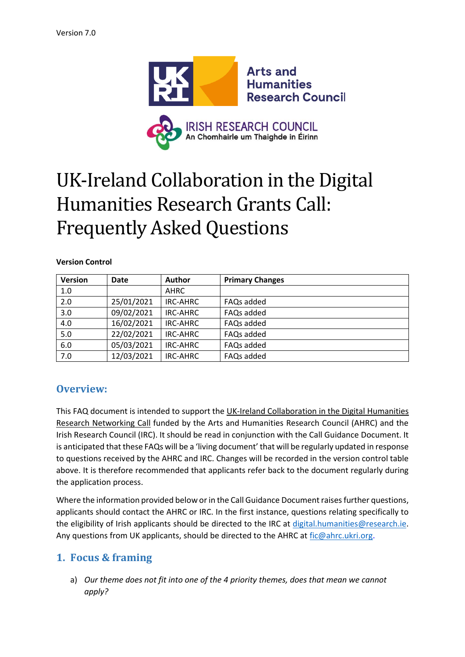

# UK-Ireland Collaboration in the Digital Humanities Research Grants Call: Frequently Asked Questions

#### **Version Control**

| <b>Version</b> | <b>Date</b> | <b>Author</b> | <b>Primary Changes</b> |
|----------------|-------------|---------------|------------------------|
| 1.0            |             | AHRC          |                        |
| 2.0            | 25/01/2021  | IRC-AHRC      | FAQs added             |
| 3.0            | 09/02/2021  | IRC-AHRC      | FAQs added             |
| 4.0            | 16/02/2021  | IRC-AHRC      | FAQs added             |
| 5.0            | 22/02/2021  | IRC-AHRC      | FAQs added             |
| 6.0            | 05/03/2021  | IRC-AHRC      | FAQs added             |
| 7.0            | 12/03/2021  | IRC-AHRC      | FAQs added             |

# **Overview:**

This FAQ document is intended to support the UK-Ireland Collaboration in the Digital Humanities Research Networking Call funded by the Arts and Humanities Research Council (AHRC) and the Irish Research Council (IRC). It should be read in conjunction with the Call Guidance Document. It is anticipated that these FAQs will be a 'living document' that will be regularly updated in response to questions received by the AHRC and IRC. Changes will be recorded in the version control table above. It is therefore recommended that applicants refer back to the document regularly during the application process.

Where the information provided below or in the Call Guidance Document raises further questions, applicants should contact the AHRC or IRC. In the first instance, questions relating specifically to the eligibility of Irish applicants should be directed to the IRC at [digital.humanities@research.ie.](mailto:digital.humanities@research.ie) Any questions from UK applicants, should be directed to the AHRC at fic@ahrc.ukri.org.

# **1. Focus & framing**

a) *Our theme does not fit into one of the 4 priority themes, does that mean we cannot apply?*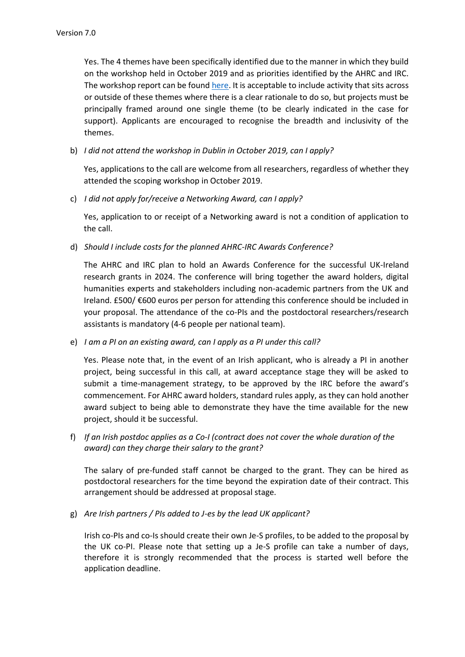Yes. The 4 themes have been specifically identified due to the manner in which they build on the workshop held in October 2019 and as priorities identified by the AHRC and IRC. The workshop report can be found [here.](https://ahrc.ukri.org/documents/calls/uk-ireland-dh-workshop-report/) It is acceptable to include activity that sits across or outside of these themes where there is a clear rationale to do so, but projects must be principally framed around one single theme (to be clearly indicated in the case for support). Applicants are encouraged to recognise the breadth and inclusivity of the themes.

b) *I did not attend the workshop in Dublin in October 2019, can I apply?*

Yes, applications to the call are welcome from all researchers, regardless of whether they attended the scoping workshop in October 2019.

c) *I did not apply for/receive a Networking Award, can I apply?*

Yes, application to or receipt of a Networking award is not a condition of application to the call.

d) *Should I include costs for the planned AHRC-IRC Awards Conference?*

The AHRC and IRC plan to hold an Awards Conference for the successful UK-Ireland research grants in 2024. The conference will bring together the award holders, digital humanities experts and stakeholders including non-academic partners from the UK and Ireland. £500/ €600 euros per person for attending this conference should be included in your proposal. The attendance of the co-PIs and the postdoctoral researchers/research assistants is mandatory (4-6 people per national team).

e) *I am a PI on an existing award, can I apply as a PI under this call?*

Yes. Please note that, in the event of an Irish applicant, who is already a PI in another project, being successful in this call, at award acceptance stage they will be asked to submit a time-management strategy, to be approved by the IRC before the award's commencement. For AHRC award holders, standard rules apply, as they can hold another award subject to being able to demonstrate they have the time available for the new project, should it be successful.

f) *If an Irish postdoc applies as a Co-I (contract does not cover the whole duration of the award) can they charge their salary to the grant?*

The salary of pre-funded staff cannot be charged to the grant. They can be hired as postdoctoral researchers for the time beyond the expiration date of their contract. This arrangement should be addressed at proposal stage.

g) *Are Irish partners / PIs added to J-es by the lead UK applicant?* 

Irish co-PIs and co-Is should create their own Je-S profiles, to be added to the proposal by the UK co-PI. Please note that setting up a Je-S profile can take a number of days, therefore it is strongly recommended that the process is started well before the application deadline.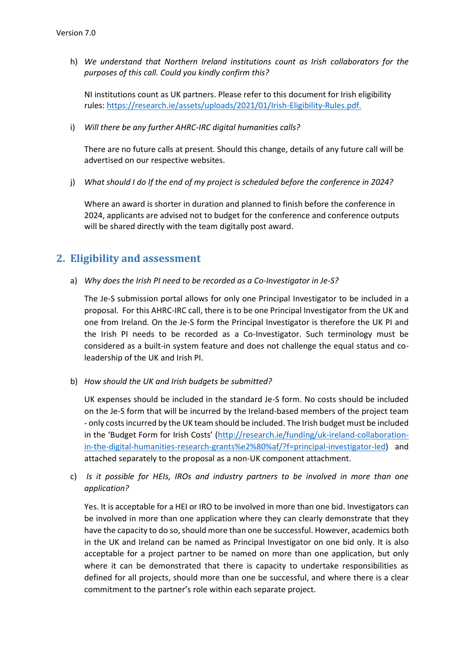h) *We understand that Northern Ireland institutions count as Irish collaborators for the purposes of this call. Could you kindly confirm this?*

NI institutions count as UK partners. Please refer to this document for Irish eligibility rules[: https://research.ie/assets/uploads/2021/01/Irish-Eligibility-Rules.pdf](https://research.ie/assets/uploads/2021/01/Irish-Eligibility-Rules.pdf).

i) *Will there be any further AHRC-IRC digital humanities calls?*

There are no future calls at present. Should this change, details of any future call will be advertised on our respective websites.

j) *What should I do If the end of my project is scheduled before the conference in 2024?*

Where an award is shorter in duration and planned to finish before the conference in 2024, applicants are advised not to budget for the conference and conference outputs will be shared directly with the team digitally post award.

# **2. Eligibility and assessment**

a) *Why does the Irish PI need to be recorded as a Co-Investigator in Je-S?*

The Je-S submission portal allows for only one Principal Investigator to be included in a proposal. For this AHRC-IRC call, there is to be one Principal Investigator from the UK and one from Ireland. On the Je-S form the Principal Investigator is therefore the UK PI and the Irish PI needs to be recorded as a Co-Investigator. Such terminology must be considered as a built-in system feature and does not challenge the equal status and coleadership of the UK and Irish PI.

b) *How should the UK and Irish budgets be submitted?*

UK expenses should be included in the standard Je-S form. No costs should be included on the Je-S form that will be incurred by the Ireland-based members of the project team - only costs incurred by the UK team should be included. The Irish budget must be included in the 'Budget Form for Irish Costs' [\(http://research.ie/funding/uk-ireland-collaboration](http://research.ie/funding/uk-ireland-collaboration-in-the-digital-humanities-research-grants%e2%80%af/?f=principal-investigator-led)[in-the-digital-humanities-research-grants%e2%80%af/?f=principal-investigator-led\)](http://research.ie/funding/uk-ireland-collaboration-in-the-digital-humanities-research-grants%e2%80%af/?f=principal-investigator-led) and attached separately to the proposal as a non-UK component attachment.

c) *Is it possible for HEIs, IROs and industry partners to be involved in more than one application?* 

Yes. It is acceptable for a HEI or IRO to be involved in more than one bid. Investigators can be involved in more than one application where they can clearly demonstrate that they have the capacity to do so, should more than one be successful. However, academics both in the UK and Ireland can be named as Principal Investigator on one bid only. It is also acceptable for a project partner to be named on more than one application, but only where it can be demonstrated that there is capacity to undertake responsibilities as defined for all projects, should more than one be successful, and where there is a clear commitment to the partner's role within each separate project.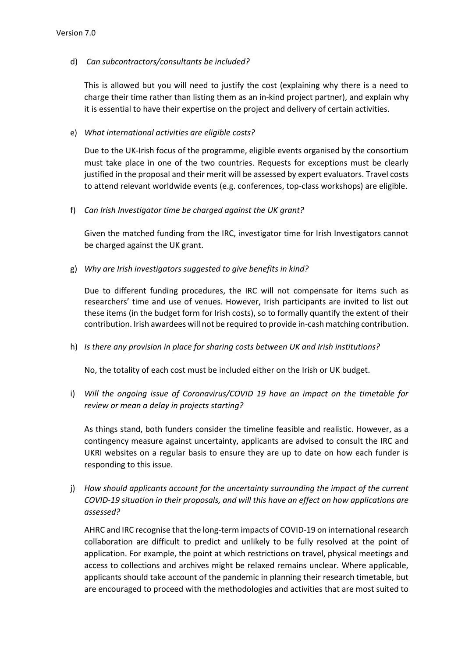## d) *Can subcontractors/consultants be included?*

This is allowed but you will need to justify the cost (explaining why there is a need to charge their time rather than listing them as an in-kind project partner), and explain why it is essential to have their expertise on the project and delivery of certain activities.

### e) *What international activities are eligible costs?*

Due to the UK-Irish focus of the programme, eligible events organised by the consortium must take place in one of the two countries. Requests for exceptions must be clearly justified in the proposal and their merit will be assessed by expert evaluators. Travel costs to attend relevant worldwide events (e.g. conferences, top-class workshops) are eligible.

## f) *Can Irish Investigator time be charged against the UK grant?*

Given the matched funding from the IRC, investigator time for Irish Investigators cannot be charged against the UK grant.

## g) *Why are Irish investigators suggested to give benefits in kind?*

Due to different funding procedures, the IRC will not compensate for items such as researchers' time and use of venues. However, Irish participants are invited to list out these items (in the budget form for Irish costs), so to formally quantify the extent of their contribution. Irish awardees will not be required to provide in-cash matching contribution.

## h) *Is there any provision in place for sharing costs between UK and Irish institutions?*

No, the totality of each cost must be included either on the Irish or UK budget.

i) *Will the ongoing issue of Coronavirus/COVID 19 have an impact on the timetable for review or mean a delay in projects starting?*

As things stand, both funders consider the timeline feasible and realistic. However, as a contingency measure against uncertainty, applicants are advised to consult the IRC and UKRI websites on a regular basis to ensure they are up to date on how each funder is responding to this issue.

j) *How should applicants account for the uncertainty surrounding the impact of the current COVID-19 situation in their proposals, and will this have an effect on how applications are assessed?* 

AHRC and IRC recognise that the long-term impacts of COVID-19 on international research collaboration are difficult to predict and unlikely to be fully resolved at the point of application. For example, the point at which restrictions on travel, physical meetings and access to collections and archives might be relaxed remains unclear. Where applicable, applicants should take account of the pandemic in planning their research timetable, but are encouraged to proceed with the methodologies and activities that are most suited to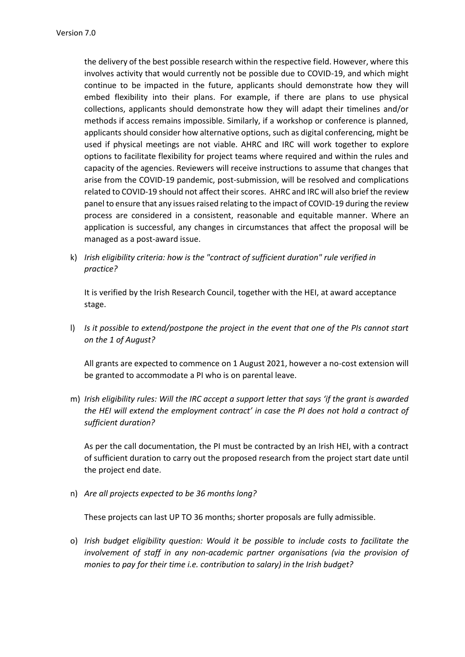the delivery of the best possible research within the respective field. However, where this involves activity that would currently not be possible due to COVID-19, and which might continue to be impacted in the future, applicants should demonstrate how they will embed flexibility into their plans. For example, if there are plans to use physical collections, applicants should demonstrate how they will adapt their timelines and/or methods if access remains impossible. Similarly, if a workshop or conference is planned, applicants should consider how alternative options, such as digital conferencing, might be used if physical meetings are not viable. AHRC and IRC will work together to explore options to facilitate flexibility for project teams where required and within the rules and capacity of the agencies. Reviewers will receive instructions to assume that changes that arise from the COVID-19 pandemic, post-submission, will be resolved and complications related to COVID-19 should not affect their scores. AHRC and IRC will also brief the review panel to ensure that any issues raised relating to the impact of COVID-19 during the review process are considered in a consistent, reasonable and equitable manner. Where an application is successful, any changes in circumstances that affect the proposal will be managed as a post-award issue.

k) *Irish eligibility criteria: how is the "contract of sufficient duration" rule verified in practice?* 

It is verified by the Irish Research Council, together with the HEI, at award acceptance stage.

l) *Is it possible to extend/postpone the project in the event that one of the PIs cannot start on the 1 of August?* 

All grants are expected to commence on 1 August 2021, however a no-cost extension will be granted to accommodate a PI who is on parental leave.

m) *Irish eligibility rules: Will the IRC accept a support letter that says 'if the grant is awarded the HEI will extend the employment contract' in case the PI does not hold a contract of sufficient duration?*

As per the call documentation, the PI must be contracted by an Irish HEI, with a contract of sufficient duration to carry out the proposed research from the project start date until the project end date.

n) *Are all projects expected to be 36 months long?*

These projects can last UP TO 36 months; shorter proposals are fully admissible.

o) *Irish budget eligibility question: Would it be possible to include costs to facilitate the involvement of staff in any non-academic partner organisations (via the provision of monies to pay for their time i.e. contribution to salary) in the Irish budget?*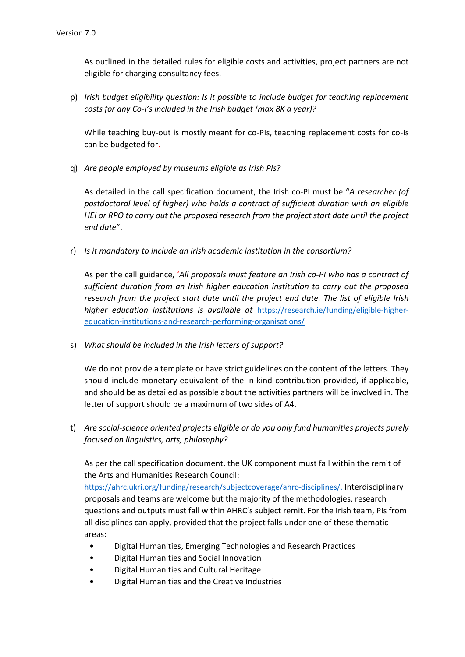As outlined in the detailed rules for eligible costs and activities, project partners are not eligible for charging consultancy fees.

p) *Irish budget eligibility question: Is it possible to include budget for teaching replacement costs for any Co-I's included in the Irish budget (max 8K a year)?*

While teaching buy-out is mostly meant for co-PIs, teaching replacement costs for co-Is can be budgeted for.

q) *Are people employed by museums eligible as Irish PIs?*

As detailed in the call specification document, the Irish co-PI must be "*A researcher (of postdoctoral level of higher) who holds a contract of sufficient duration with an eligible HEI or RPO to carry out the proposed research from the project start date until the project end date*".

r) *Is it mandatory to include an Irish academic institution in the consortium?*

As per the call guidance, '*All proposals must feature an Irish co-PI who has a contract of sufficient duration from an Irish higher education institution to carry out the proposed research from the project start date until the project end date. The list of eligible Irish higher education institutions is available at* [https://research.ie/funding/eligible-higher](https://research.ie/funding/eligible-higher-education-institutions-and-research-performing-organisations/)[education-institutions-and-research-performing-organisations/](https://research.ie/funding/eligible-higher-education-institutions-and-research-performing-organisations/)

s) *What should be included in the Irish letters of support?*

We do not provide a template or have strict guidelines on the content of the letters. They should include monetary equivalent of the in-kind contribution provided, if applicable, and should be as detailed as possible about the activities partners will be involved in. The letter of support should be a maximum of two sides of A4.

t) *Are social-science oriented projects eligible or do you only fund humanities projects purely focused on linguistics, arts, philosophy?*

As per the call specification document, the UK component must fall within the remit of the Arts and Humanities Research Council:

https://ahrc.ukri.org/funding/research/subjectcoverage/ahrc-disciplines/. Interdisciplinary proposals and teams are welcome but the majority of the methodologies, research questions and outputs must fall within AHRC's subject remit. For the Irish team, PIs from all disciplines can apply, provided that the project falls under one of these thematic areas:

- Digital Humanities, Emerging Technologies and Research Practices
- Digital Humanities and Social Innovation
- Digital Humanities and Cultural Heritage
- Digital Humanities and the Creative Industries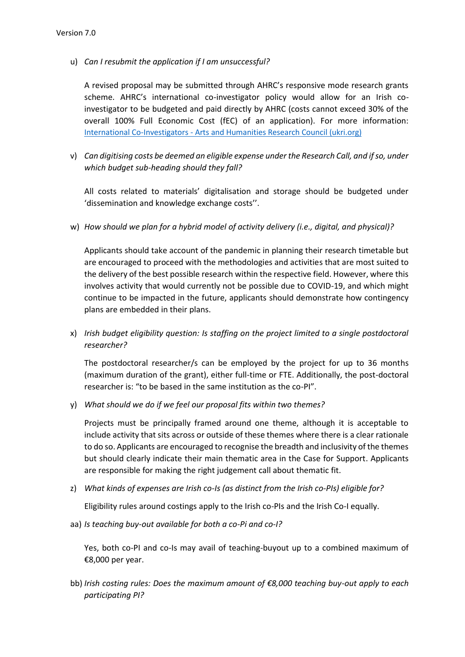u) *Can I resubmit the application if I am unsuccessful?*

A revised proposal may be submitted through AHRC's responsive mode research grants scheme. AHRC's international co-investigator policy would allow for an Irish coinvestigator to be budgeted and paid directly by AHRC (costs cannot exceed 30% of the overall 100% Full Economic Cost (fEC) of an application). For more information: International Co-Investigators - [Arts and Humanities Research Council \(ukri.org\)](https://ahrc.ukri.org/funding/internationalfunding/international-co-investigators/)

v) *Can digitising costs be deemed an eligible expense under the Research Call, and if so, under which budget sub-heading should they fall?* 

All costs related to materials' digitalisation and storage should be budgeted under 'dissemination and knowledge exchange costs''.

w) *How should we plan for a hybrid model of activity delivery (i.e., digital, and physical)?* 

Applicants should take account of the pandemic in planning their research timetable but are encouraged to proceed with the methodologies and activities that are most suited to the delivery of the best possible research within the respective field. However, where this involves activity that would currently not be possible due to COVID-19, and which might continue to be impacted in the future, applicants should demonstrate how contingency plans are embedded in their plans.

x) *Irish budget eligibility question: Is staffing on the project limited to a single postdoctoral researcher?*

The postdoctoral researcher/s can be employed by the project for up to 36 months (maximum duration of the grant), either full-time or FTE. Additionally, the post-doctoral researcher is: "to be based in the same institution as the co-PI".

y) *What should we do if we feel our proposal fits within two themes?*

Projects must be principally framed around one theme, although it is acceptable to include activity that sits across or outside of these themes where there is a clear rationale to do so. Applicants are encouraged to recognise the breadth and inclusivity of the themes but should clearly indicate their main thematic area in the Case for Support. Applicants are responsible for making the right judgement call about thematic fit.

z) *What kinds of expenses are Irish co-Is (as distinct from the Irish co-PIs) eligible for?* 

Eligibility rules around costings apply to the Irish co-PIs and the Irish Co-I equally.

aa) *Is teaching buy-out available for both a co-Pi and co-I?* 

Yes, both co-PI and co-Is may avail of teaching-buyout up to a combined maximum of €8,000 per year.

bb) *Irish costing rules: Does the maximum amount of €8,000 teaching buy-out apply to each participating PI?*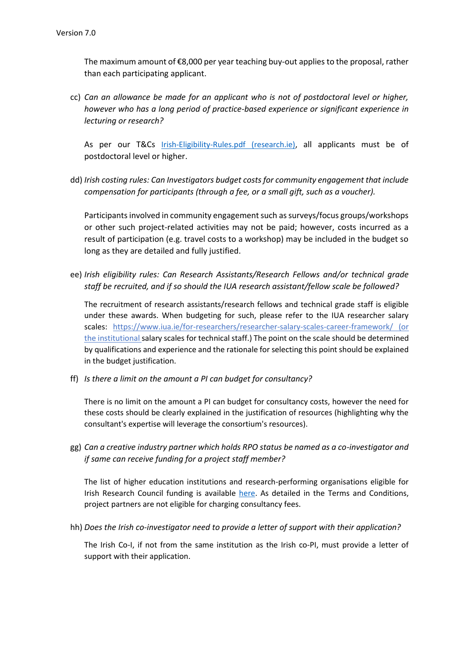The maximum amount of €8,000 per year teaching buy-out applies to the proposal, rather than each participating applicant.

cc) *Can an allowance be made for an applicant who is not of postdoctoral level or higher, however who has a long period of practice-based experience or significant experience in lecturing or research?* 

As per our T&Cs [Irish-Eligibility-Rules.pdf \(research.ie\),](https://research.ie/assets/uploads/2021/01/Irish-Eligibility-Rules.pdf) all applicants must be of postdoctoral level or higher.

dd) *Irish costing rules: Can Investigators budget costs for community engagement that include compensation for participants (through a fee, or a small gift, such as a voucher).* 

Participants involved in community engagement such as surveys/focus groups/workshops or other such project-related activities may not be paid; however, costs incurred as a result of participation (e.g. travel costs to a workshop) may be included in the budget so long as they are detailed and fully justified.

ee) *Irish eligibility rules: Can Research Assistants/Research Fellows and/or technical grade staff be recruited, and if so should the IUA research assistant/fellow scale be followed?* 

The recruitment of research assistants/research fellows and technical grade staff is eligible under these awards. When budgeting for such, please refer to the IUA researcher salary scales: <https://www.iua.ie/for-researchers/researcher-salary-scales-career-framework/> (or the institutional salary scales for technical staff.) The point on the scale should be determined by qualifications and experience and the rationale for selecting this point should be explained in the budget justification.

ff) *Is there a limit on the amount a PI can budget for consultancy?* 

There is no limit on the amount a PI can budget for consultancy costs, however the need for these costs should be clearly explained in the justification of resources (highlighting why the consultant's expertise will leverage the consortium's resources).

gg) *Can a creative industry partner which holds RPO status be named as a co-investigator and if same can receive funding for a project staff member?*

The list of higher education institutions and research-performing organisations eligible for Irish Research Council funding is available [here.](https://research.ie/funding/eligible-higher-education-institutions-and-research-performing-organisations/) As detailed in the Terms and Conditions, project partners are not eligible for charging consultancy fees.

hh) *Does the Irish co-investigator need to provide a letter of support with their application?*

The Irish Co-I, if not from the same institution as the Irish co-PI, must provide a letter of support with their application.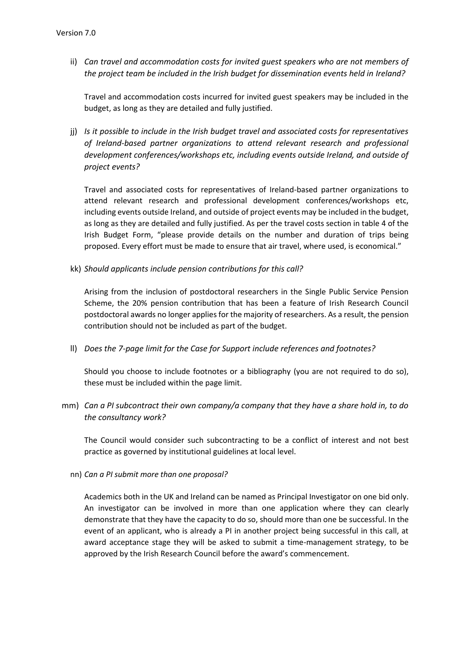ii) *Can travel and accommodation costs for invited guest speakers who are not members of the project team be included in the Irish budget for dissemination events held in Ireland?*

Travel and accommodation costs incurred for invited guest speakers may be included in the budget, as long as they are detailed and fully justified.

jj) *Is it possible to include in the Irish budget travel and associated costs for representatives of Ireland-based partner organizations to attend relevant research and professional development conferences/workshops etc, including events outside Ireland, and outside of project events?*

Travel and associated costs for representatives of Ireland-based partner organizations to attend relevant research and professional development conferences/workshops etc, including events outside Ireland, and outside of project events may be included in the budget, as long as they are detailed and fully justified. As per the travel costs section in table 4 of the Irish Budget Form, "please provide details on the number and duration of trips being proposed. Every effort must be made to ensure that air travel, where used, is economical."

kk) *Should applicants include pension contributions for this call?*

Arising from the inclusion of postdoctoral researchers in the Single Public Service Pension Scheme, the 20% pension contribution that has been a feature of Irish Research Council postdoctoral awards no longer applies for the majority of researchers. As a result, the pension contribution should not be included as part of the budget.

ll) *Does the 7-page limit for the Case for Support include references and footnotes?*

Should you choose to include footnotes or a bibliography (you are not required to do so), these must be included within the page limit.

mm) *Can a PI subcontract their own company/a company that they have a share hold in, to do the consultancy work?* 

The Council would consider such subcontracting to be a conflict of interest and not best practice as governed by institutional guidelines at local level.

nn) *Can a PI submit more than one proposal?*

Academics both in the UK and Ireland can be named as Principal Investigator on one bid only. An investigator can be involved in more than one application where they can clearly demonstrate that they have the capacity to do so, should more than one be successful. In the event of an applicant, who is already a PI in another project being successful in this call, at award acceptance stage they will be asked to submit a time-management strategy, to be approved by the Irish Research Council before the award's commencement.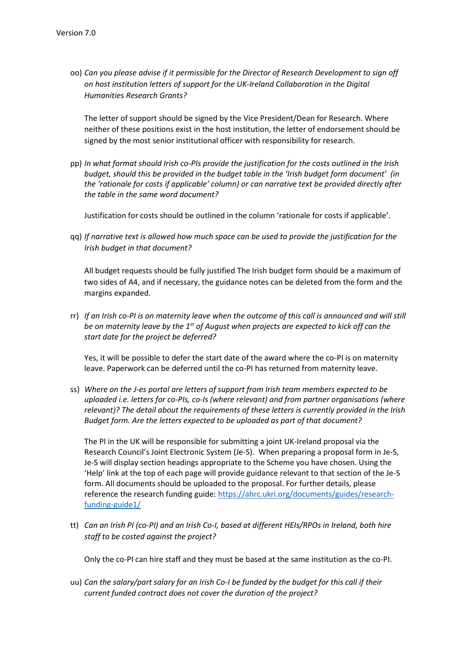oo) *Can you please advise if it permissible for the Director of Research Development to sign off on host institution letters of support for the UK-Ireland Collaboration in the Digital Humanities Research Grants?*

The letter of support should be signed by the Vice President/Dean for Research. Where neither of these positions exist in the host institution, the letter of endorsement should be signed by the most senior institutional officer with responsibility for research.

pp) *In what format should Irish co-PIs provide the justification for the costs outlined in the Irish budget, should this be provided in the budget table in the 'Irish budget form document' (in the 'rationale for costs if applicable' column) or can narrative text be provided directly after the table in the same word document?* 

Justification for costs should be outlined in the column 'rationale for costs if applicable'.

qq) *If narrative text is allowed how much space can be used to provide the justification for the Irish budget in that document?* 

All budget requests should be fully justified The Irish budget form should be a maximum of two sides of A4, and if necessary, the guidance notes can be deleted from the form and the margins expanded.

rr) *If an Irish co-PI is on maternity leave when the outcome of this call is announced and will still be on maternity leave by the 1st of August when projects are expected to kick off can the start date for the project be deferred?* 

Yes, it will be possible to defer the start date of the award where the co-PI is on maternity leave. Paperwork can be deferred until the co-PI has returned from maternity leave.

ss) *Where on the J-es portal are letters of support from Irish team members expected to be uploaded i.e. letters for co-PIs, co-Is (where relevant) and from partner organisations (where relevant)? The detail about the requirements of these letters is currently provided in the Irish Budget form. Are the letters expected to be uploaded as part of that document?* 

The PI in the UK will be responsible for submitting a joint UK-Ireland proposal via the Research Council's Joint Electronic System (Je-S). When preparing a proposal form in Je-S, Je-S will display section headings appropriate to the Scheme you have chosen. Using the 'Help' link at the top of each page will provide guidance relevant to that section of the Je-S form. All documents should be uploaded to the proposal. For further details, please reference the research funding guide: [https://ahrc.ukri.org/documents/guides/research](https://ahrc.ukri.org/documents/guides/research-funding-guide1/)[funding-guide1/](https://ahrc.ukri.org/documents/guides/research-funding-guide1/)

tt) *Can an Irish PI (co-PI) and an Irish Co-I, based at different HEIs/RPOs in Ireland, both hire staff to be costed against the project?*

Only the co-PI can hire staff and they must be based at the same institution as the co-PI.

uu) *Can the salary/part salary for an Irish Co-I be funded by the budget for this call if their current funded contract does not cover the duration of the project?*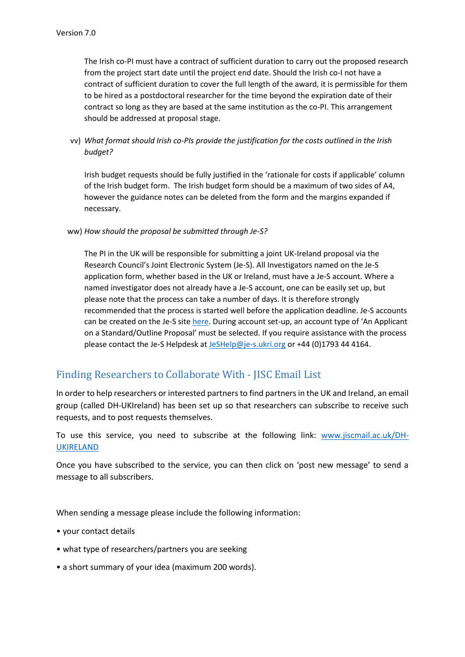The Irish co-PI must have a contract of sufficient duration to carry out the proposed research from the project start date until the project end date. Should the Irish co-I not have a contract of sufficient duration to cover the full length of the award, it is permissible for them to be hired as a postdoctoral researcher for the time beyond the expiration date of their contract so long as they are based at the same institution as the co-PI. This arrangement should be addressed at proposal stage.

vv) *What format should Irish co-PIs provide the justification for the costs outlined in the Irish budget?*

Irish budget requests should be fully justified in the 'rationale for costs if applicable' column of the Irish budget form. The Irish budget form should be a maximum of two sides of A4, however the guidance notes can be deleted from the form and the margins expanded if necessary.

#### ww) *How should the proposal be submitted through Je-S?*

The PI in the UK will be responsible for submitting a joint UK-Ireland proposal via the Research Council's Joint Electronic System (Je-S). All Investigators named on the Je-S application form, whether based in the UK or Ireland, must have a Je-S account. Where a named investigator does not already have a Je-S account, one can be easily set up, but please note that the process can take a number of days. It is therefore strongly recommended that the process is started well before the application deadline. Je-S accounts can be created on the Je-S sit[e here.](https://je-s.rcuk.ac.uk/JeS2WebLoginSite/TermsConditions.aspx?mode=accountsetup) During account set-up, an account type of 'An Applicant on a Standard/Outline Proposal' must be selected. If you require assistance with the process please contact the Je-S Helpdesk a[t JeSHelp@je-s.ukri.org](mailto:JeSHelp@je-s.ukri.org) or +44 (0)1793 44 4164.

# Finding Researchers to Collaborate With - JISC Email List

In order to help researchers or interested partners to find partners in the UK and Ireland, an email group (called DH-UKIreland) has been set up so that researchers can subscribe to receive such requests, and to post requests themselves.

To use this service, you need to subscribe at the following link: [www.jiscmail.ac.uk/DH-](http://www.jiscmail.ac.uk/DH-UKIRELAND)[UKIRELAND](http://www.jiscmail.ac.uk/DH-UKIRELAND)

Once you have subscribed to the service, you can then click on 'post new message' to send a message to all subscribers.

When sending a message please include the following information:

- your contact details
- what type of researchers/partners you are seeking
- a short summary of your idea (maximum 200 words).